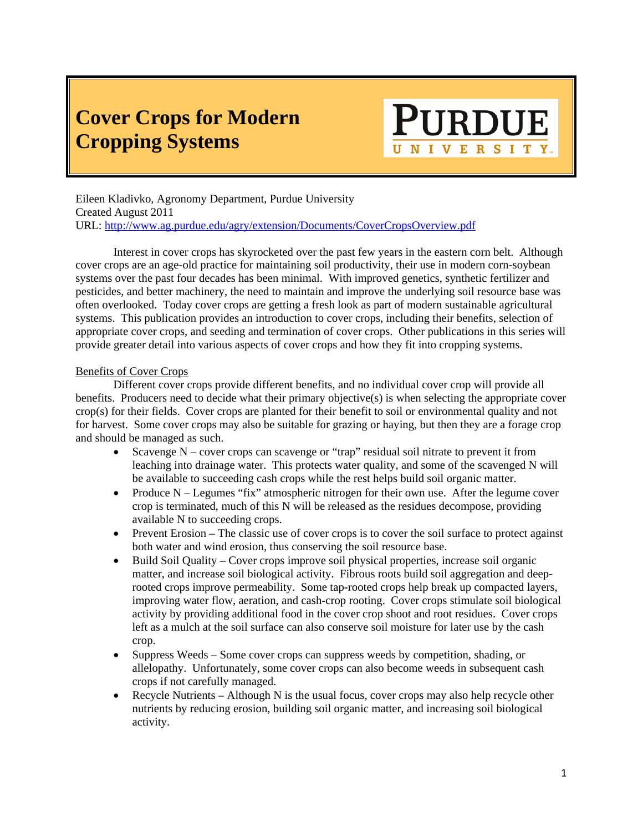# **Cover Crops for Modern Cropping Systems**

# RDUI UNIVERSITY.

Eileen Kladivko, Agronomy Department, Purdue University Created August 2011 URL: http://www.ag.purdue.edu/agry/extension/Documents/CoverCropsOverview.pdf

 Interest in cover crops has skyrocketed over the past few years in the eastern corn belt. Although cover crops are an age-old practice for maintaining soil productivity, their use in modern corn-soybean systems over the past four decades has been minimal. With improved genetics, synthetic fertilizer and pesticides, and better machinery, the need to maintain and improve the underlying soil resource base was often overlooked. Today cover crops are getting a fresh look as part of modern sustainable agricultural systems. This publication provides an introduction to cover crops, including their benefits, selection of appropriate cover crops, and seeding and termination of cover crops. Other publications in this series will provide greater detail into various aspects of cover crops and how they fit into cropping systems.

#### Benefits of Cover Crops

 Different cover crops provide different benefits, and no individual cover crop will provide all benefits. Producers need to decide what their primary objective(s) is when selecting the appropriate cover crop(s) for their fields. Cover crops are planted for their benefit to soil or environmental quality and not for harvest. Some cover crops may also be suitable for grazing or haying, but then they are a forage crop and should be managed as such.

- Scavenge N cover crops can scavenge or "trap" residual soil nitrate to prevent it from leaching into drainage water. This protects water quality, and some of the scavenged N will be available to succeeding cash crops while the rest helps build soil organic matter.
- Produce  $N -$  Legumes "fix" atmospheric nitrogen for their own use. After the legume cover crop is terminated, much of this N will be released as the residues decompose, providing available N to succeeding crops.
- Prevent Erosion The classic use of cover crops is to cover the soil surface to protect against both water and wind erosion, thus conserving the soil resource base.
- Build Soil Quality Cover crops improve soil physical properties, increase soil organic matter, and increase soil biological activity. Fibrous roots build soil aggregation and deeprooted crops improve permeability. Some tap-rooted crops help break up compacted layers, improving water flow, aeration, and cash-crop rooting. Cover crops stimulate soil biological activity by providing additional food in the cover crop shoot and root residues. Cover crops left as a mulch at the soil surface can also conserve soil moisture for later use by the cash crop.
- Suppress Weeds Some cover crops can suppress weeds by competition, shading, or allelopathy. Unfortunately, some cover crops can also become weeds in subsequent cash crops if not carefully managed.
- $\bullet$  Recycle Nutrients Although N is the usual focus, cover crops may also help recycle other nutrients by reducing erosion, building soil organic matter, and increasing soil biological activity.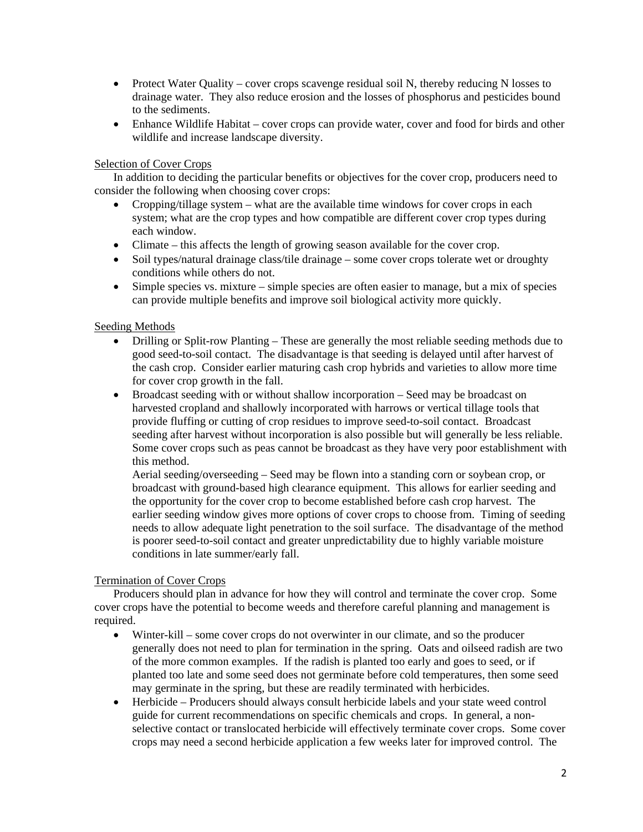- Protect Water Quality cover crops scavenge residual soil N, thereby reducing N losses to drainage water. They also reduce erosion and the losses of phosphorus and pesticides bound to the sediments.
- Enhance Wildlife Habitat cover crops can provide water, cover and food for birds and other wildlife and increase landscape diversity.

#### Selection of Cover Crops

 In addition to deciding the particular benefits or objectives for the cover crop, producers need to consider the following when choosing cover crops:

- Cropping/tillage system what are the available time windows for cover crops in each system; what are the crop types and how compatible are different cover crop types during each window.
- Climate this affects the length of growing season available for the cover crop.
- Soil types/natural drainage class/tile drainage some cover crops tolerate wet or droughty conditions while others do not.
- Simple species vs. mixture simple species are often easier to manage, but a mix of species can provide multiple benefits and improve soil biological activity more quickly.

## Seeding Methods

- Drilling or Split-row Planting These are generally the most reliable seeding methods due to good seed-to-soil contact. The disadvantage is that seeding is delayed until after harvest of the cash crop. Consider earlier maturing cash crop hybrids and varieties to allow more time for cover crop growth in the fall.
- Broadcast seeding with or without shallow incorporation Seed may be broadcast on harvested cropland and shallowly incorporated with harrows or vertical tillage tools that provide fluffing or cutting of crop residues to improve seed-to-soil contact. Broadcast seeding after harvest without incorporation is also possible but will generally be less reliable. Some cover crops such as peas cannot be broadcast as they have very poor establishment with this method.

Aerial seeding/overseeding – Seed may be flown into a standing corn or soybean crop, or broadcast with ground-based high clearance equipment. This allows for earlier seeding and the opportunity for the cover crop to become established before cash crop harvest. The earlier seeding window gives more options of cover crops to choose from. Timing of seeding needs to allow adequate light penetration to the soil surface. The disadvantage of the method is poorer seed-to-soil contact and greater unpredictability due to highly variable moisture conditions in late summer/early fall.

#### Termination of Cover Crops

 Producers should plan in advance for how they will control and terminate the cover crop. Some cover crops have the potential to become weeds and therefore careful planning and management is required.

- Winter-kill some cover crops do not overwinter in our climate, and so the producer generally does not need to plan for termination in the spring. Oats and oilseed radish are two of the more common examples. If the radish is planted too early and goes to seed, or if planted too late and some seed does not germinate before cold temperatures, then some seed may germinate in the spring, but these are readily terminated with herbicides.
- Herbicide Producers should always consult herbicide labels and your state weed control guide for current recommendations on specific chemicals and crops. In general, a nonselective contact or translocated herbicide will effectively terminate cover crops. Some cover crops may need a second herbicide application a few weeks later for improved control. The